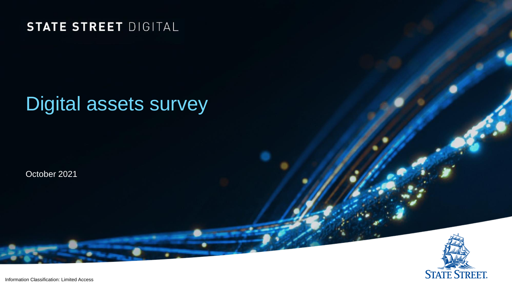#### **STATE STREET DIGITAL**

# Digital assets survey

October 2021



Information Classification: Limited Access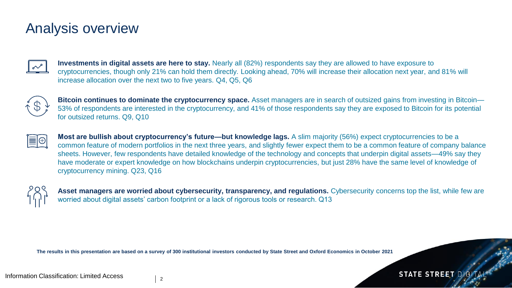#### Analysis overview



**Investments in digital assets are here to stay.** Nearly all (82%) respondents say they are allowed to have exposure to cryptocurrencies, though only 21% can hold them directly. Looking ahead, 70% will increase their allocation next year, and 81% will increase allocation over the next two to five years. Q4, Q5, Q6



**Bitcoin continues to dominate the cryptocurrency space.** Asset managers are in search of outsized gains from investing in Bitcoin— 53% of respondents are interested in the cryptocurrency, and 41% of those respondents say they are exposed to Bitcoin for its potential for outsized returns. Q9, Q10



**Most are bullish about cryptocurrency's future—but knowledge lags.** A slim majority (56%) expect cryptocurrencies to be a common feature of modern portfolios in the next three years, and slightly fewer expect them to be a common feature of company balance sheets. However, few respondents have detailed knowledge of the technology and concepts that underpin digital assets—49% say they have moderate or expert knowledge on how blockchains underpin cryptocurrencies, but just 28% have the same level of knowledge of cryptocurrency mining. Q23, Q16



Asset managers are worried about cybersecurity, transparency, and regulations. Cybersecurity concerns top the list, while few are worried about digital assets' carbon footprint or a lack of rigorous tools or research. Q13

**STATE STREET DID** 

**The results in this presentation are based on a survey of 300 institutional investors conducted by State Street and Oxford Economics in October 2021**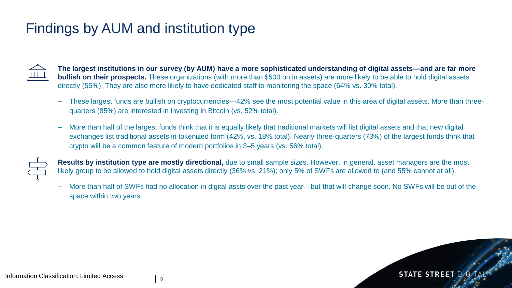# Findings by AUM and institution type



**The largest institutions in our survey (by AUM) have a more sophisticated understanding of digital assets—and are far more bullish on their prospects.** These organizations (with more than \$500 bn in assets) are more likely to be able to hold digital assets directly (55%). They are also more likely to have dedicated staff to monitoring the space (64% vs. 30% total).

- These largest funds are bullish on cryptocurrencies—42% see the most potential value in this area of digital assets. More than threequarters (85%) are interested in investing in Bitcoin (vs. 52% total).
- More than half of the largest funds think that it is equally likely that traditional markets will list digital assets and that new digital exchanges list traditional assets in tokenized form (42%, vs. 18% total). Nearly three-quarters (73%) of the largest funds think that crypto will be a common feature of modern portfolios in 3–5 years (vs. 56% total).



**Results by institution type are mostly directional,** due to small sample sizes. However, in general, asset managers are the most likely group to be allowed to hold digital assets directly (36% vs. 21%); only 5% of SWFs are allowed to (and 55% cannot at all).

– More than half of SWFs had no allocation in digital assts over the past year—but that will change soon. No SWFs will be out of the space within two years.

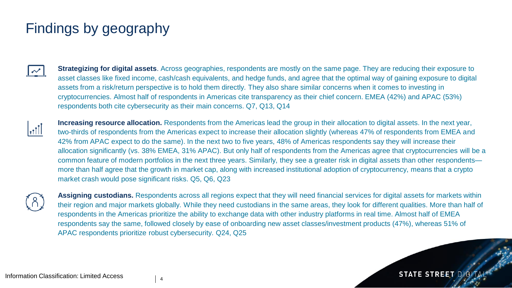# Findings by geography



**Strategizing for digital assets**. Across geographies, respondents are mostly on the same page. They are reducing their exposure to asset classes like fixed income, cash/cash equivalents, and hedge funds, and agree that the optimal way of gaining exposure to digital assets from a risk/return perspective is to hold them directly. They also share similar concerns when it comes to investing in cryptocurrencies. Almost half of respondents in Americas cite transparency as their chief concern. EMEA (42%) and APAC (53%) respondents both cite cybersecurity as their main concerns. Q7, Q13, Q14



**Increasing resource allocation.** Respondents from the Americas lead the group in their allocation to digital assets. In the next year, two-thirds of respondents from the Americas expect to increase their allocation slightly (whereas 47% of respondents from EMEA and 42% from APAC expect to do the same). In the next two to five years, 48% of Americas respondents say they will increase their allocation significantly (vs. 38% EMEA, 31% APAC). But only half of respondents from the Americas agree that cryptocurrencies will be a common feature of modern portfolios in the next three years. Similarly, they see a greater risk in digital assets than other respondents more than half agree that the growth in market cap, along with increased institutional adoption of cryptocurrency, means that a crypto market crash would pose significant risks. Q5, Q6, Q23



**Assigning custodians.** Respondents across all regions expect that they will need financial services for digital assets for markets within their region and major markets globally. While they need custodians in the same areas, they look for different qualities. More than half of respondents in the Americas prioritize the ability to exchange data with other industry platforms in real time. Almost half of EMEA respondents say the same, followed closely by ease of onboarding new asset classes/investment products (47%), whereas 51% of APAC respondents prioritize robust cybersecurity. Q24, Q25

**STATE STREET DIGI**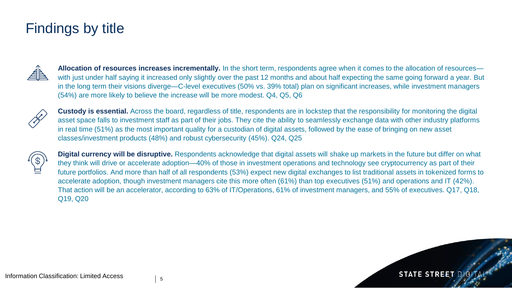#### Findings by title



**Allocation of resources increases incrementally.** In the short term, respondents agree when it comes to the allocation of resources with just under half saying it increased only slightly over the past 12 months and about half expecting the same going forward a year. But in the long term their visions diverge—C-level executives (50% vs. 39% total) plan on significant increases, while investment managers (54%) are more likely to believe the increase will be more modest. Q4, Q5, Q6



**Custody is essential.** Across the board, regardless of title, respondents are in lockstep that the responsibility for monitoring the digital asset space falls to investment staff as part of their jobs. They cite the ability to seamlessly exchange data with other industry platforms in real time (51%) as the most important quality for a custodian of digital assets, followed by the ease of bringing on new asset classes/investment products (48%) and robust cybersecurity (45%). Q24, Q25



**Digital currency will be disruptive.** Respondents acknowledge that digital assets will shake up markets in the future but differ on what they think will drive or accelerate adoption—40% of those in investment operations and technology see cryptocurrency as part of their future portfolios. And more than half of all respondents (53%) expect new digital exchanges to list traditional assets in tokenized forms to accelerate adoption, though investment managers cite this more often (61%) than top executives (51%) and operations and IT (42%). That action will be an accelerator, according to 63% of IT/Operations, 61% of investment managers, and 55% of executives. Q17, Q18, Q19, Q20

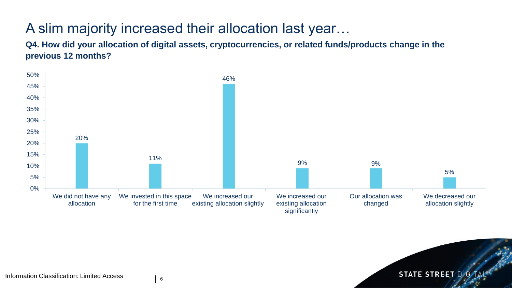# A slim majority increased their allocation last year…

**Q4. How did your allocation of digital assets, cryptocurrencies, or related funds/products change in the previous 12 months?**



**STATE STREET DIGIT**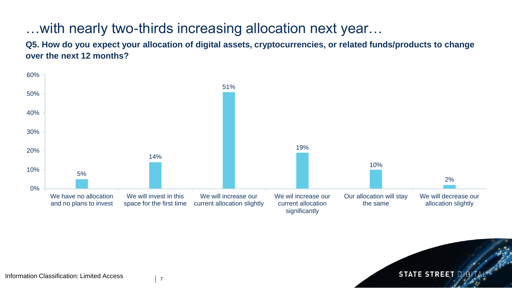#### …with nearly two-thirds increasing allocation next year…

**Q5. How do you expect your allocation of digital assets, cryptocurrencies, or related funds/products to change over the next 12 months?**



**STATE STREET DIGK** 

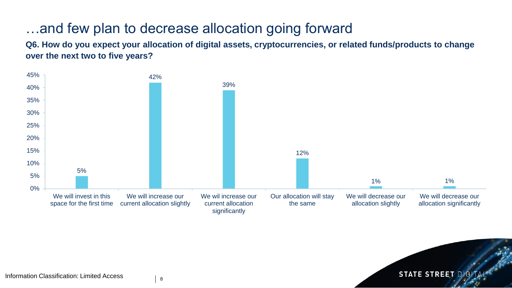#### …and few plan to decrease allocation going forward

**Q6. How do you expect your allocation of digital assets, cryptocurrencies, or related funds/products to change over the next two to five years?**





8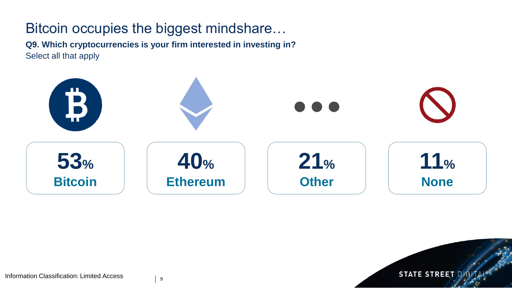#### Bitcoin occupies the biggest mindshare…

**Q9. Which cryptocurrencies is your firm interested in investing in?** Select all that apply



**STATE STREET DIGI** 



9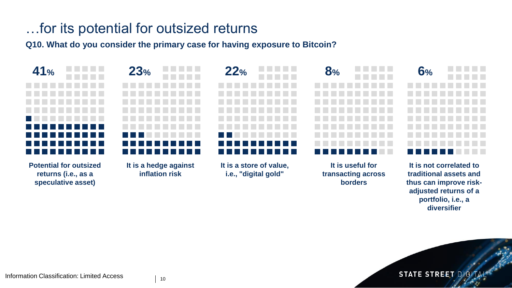### …for its potential for outsized returns

**Q10. What do you consider the primary case for having exposure to Bitcoin?**



**portfolio, i.e., a diversifier**

**STATE STREET DIGI**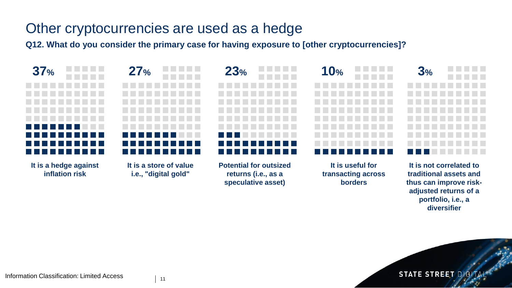#### Other cryptocurrencies are used as a hedge

**Q12. What do you consider the primary case for having exposure to [other cryptocurrencies]?**



**adjusted returns of a portfolio, i.e., a diversifier**

**STATE STREET DIGI**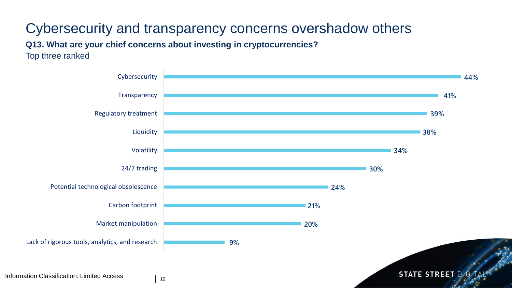## Cybersecurity and transparency concerns overshadow others

**Q13. What are your chief concerns about investing in cryptocurrencies?**

Top three ranked

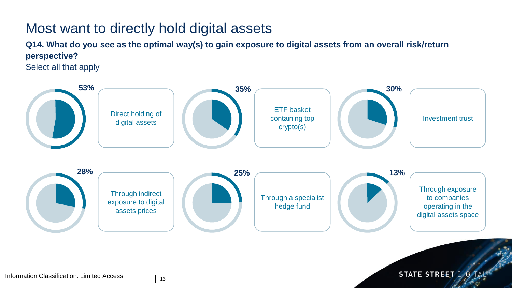#### Most want to directly hold digital assets

**Q14. What do you see as the optimal way(s) to gain exposure to digital assets from an overall risk/return perspective?**

Select all that apply



**STATE STREET DIGIT**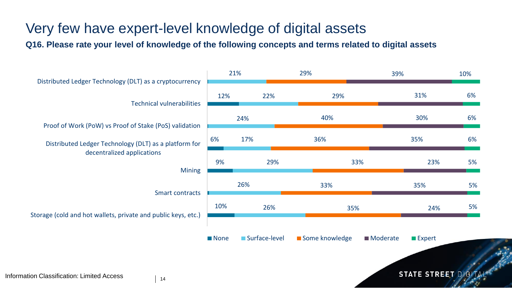# Very few have expert-level knowledge of digital assets

**Q16. Please rate your level of knowledge of the following concepts and terms related to digital assets**



**STATE STREET DIGITA**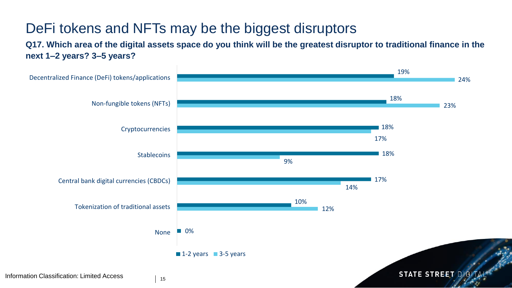# DeFi tokens and NFTs may be the biggest disruptors

**Q17. Which area of the digital assets space do you think will be the greatest disruptor to traditional finance in the next 1–2 years? 3–5 years?**

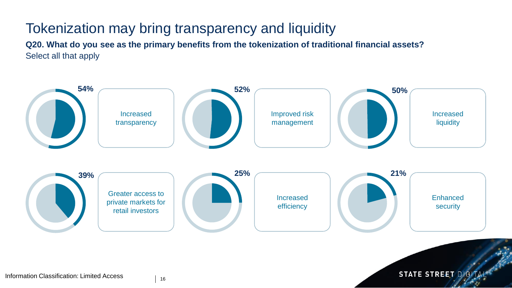# Tokenization may bring transparency and liquidity

**Q20. What do you see as the primary benefits from the tokenization of traditional financial assets?** Select all that apply



STATE STREET DIGIT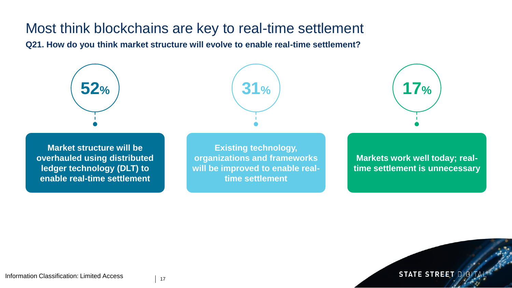#### Most think blockchains are key to real-time settlement

**Q21. How do you think market structure will evolve to enable real-time settlement?**







**Market structure will be overhauled using distributed ledger technology (DLT) to enable real-time settlement**

**Existing technology, organizations and frameworks will be improved to enable realtime settlement**

**Markets work well today; realtime settlement is unnecessary**